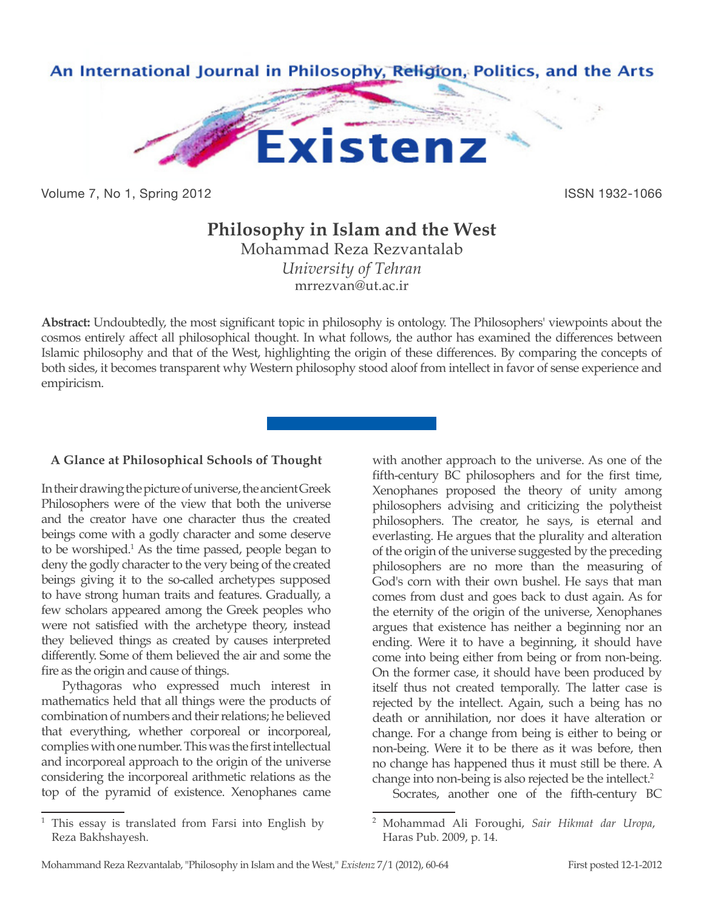

Volume 7, No 1, Spring 2012 **ISSN 1932-1066** 

# **Philosophy in Islam and the West**

Mohammad Reza Rezvantalab *University of Tehran* mrrezvan@ut.ac.ir

**Abstract:** Undoubtedly, the most significant topic in philosophy is ontology. The Philosophers' viewpoints about the cosmos entirely affect all philosophical thought. In what follows, the author has examined the differences between Islamic philosophy and that of the West, highlighting the origin of these differences. By comparing the concepts of both sides, it becomes transparent why Western philosophy stood aloof from intellect in favor of sense experience and empiricism.

## **A Glance at Philosophical Schools of Thought**

In their drawing the picture of universe, the ancient Greek Philosophers were of the view that both the universe and the creator have one character thus the created beings come with a godly character and some deserve to be worshiped.<sup>1</sup> As the time passed, people began to deny the godly character to the very being of the created beings giving it to the so-called archetypes supposed to have strong human traits and features. Gradually, a few scholars appeared among the Greek peoples who were not satisfied with the archetype theory, instead they believed things as created by causes interpreted differently. Some of them believed the air and some the fire as the origin and cause of things.

Pythagoras who expressed much interest in mathematics held that all things were the products of combination of numbers and their relations; he believed that everything, whether corporeal or incorporeal, complies with one number. This was the first intellectual and incorporeal approach to the origin of the universe considering the incorporeal arithmetic relations as the top of the pyramid of existence. Xenophanes came

with another approach to the universe. As one of the fifth-century BC philosophers and for the first time, Xenophanes proposed the theory of unity among philosophers advising and criticizing the polytheist philosophers. The creator, he says, is eternal and everlasting. He argues that the plurality and alteration of the origin of the universe suggested by the preceding philosophers are no more than the measuring of God's corn with their own bushel. He says that man comes from dust and goes back to dust again. As for the eternity of the origin of the universe, Xenophanes argues that existence has neither a beginning nor an ending. Were it to have a beginning, it should have come into being either from being or from non-being. On the former case, it should have been produced by itself thus not created temporally. The latter case is rejected by the intellect. Again, such a being has no death or annihilation, nor does it have alteration or change. For a change from being is either to being or non-being. Were it to be there as it was before, then no change has happened thus it must still be there. A change into non-being is also rejected be the intellect.<sup>2</sup>

Socrates, another one of the fifth-century BC

This essay is translated from Farsi into English by Reza Bakhshayesh.

<sup>2</sup> Mohammad Ali Foroughi, *Sair Hikmat dar Uropa*, Haras Pub. 2009, p. 14.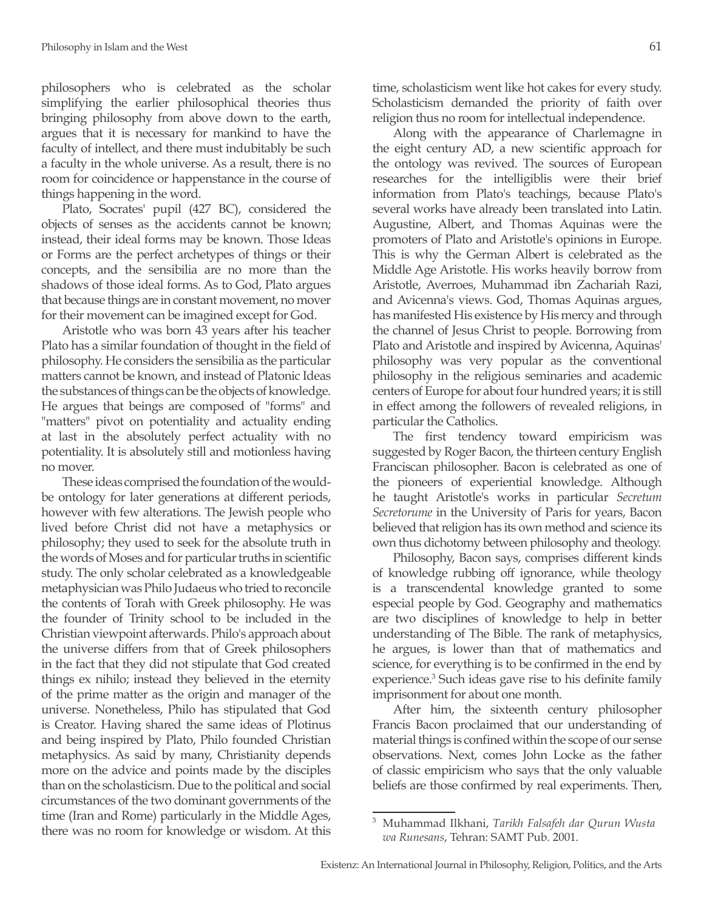philosophers who is celebrated as the scholar simplifying the earlier philosophical theories thus bringing philosophy from above down to the earth, argues that it is necessary for mankind to have the faculty of intellect, and there must indubitably be such a faculty in the whole universe. As a result, there is no room for coincidence or happenstance in the course of things happening in the word.

Plato, Socrates' pupil (427 BC), considered the objects of senses as the accidents cannot be known; instead, their ideal forms may be known. Those Ideas or Forms are the perfect archetypes of things or their concepts, and the sensibilia are no more than the shadows of those ideal forms. As to God, Plato argues that because things are in constant movement, no mover for their movement can be imagined except for God.

Aristotle who was born 43 years after his teacher Plato has a similar foundation of thought in the field of philosophy. He considers the sensibilia as the particular matters cannot be known, and instead of Platonic Ideas the substances of things can be the objects of knowledge. He argues that beings are composed of "forms" and "matters" pivot on potentiality and actuality ending at last in the absolutely perfect actuality with no potentiality. It is absolutely still and motionless having no mover.

These ideas comprised the foundation of the wouldbe ontology for later generations at different periods, however with few alterations. The Jewish people who lived before Christ did not have a metaphysics or philosophy; they used to seek for the absolute truth in the words of Moses and for particular truths in scientific study. The only scholar celebrated as a knowledgeable metaphysician was Philo Judaeus who tried to reconcile the contents of Torah with Greek philosophy. He was the founder of Trinity school to be included in the Christian viewpoint afterwards. Philo's approach about the universe differs from that of Greek philosophers in the fact that they did not stipulate that God created things ex nihilo; instead they believed in the eternity of the prime matter as the origin and manager of the universe. Nonetheless, Philo has stipulated that God is Creator. Having shared the same ideas of Plotinus and being inspired by Plato, Philo founded Christian metaphysics. As said by many, Christianity depends more on the advice and points made by the disciples than on the scholasticism. Due to the political and social circumstances of the two dominant governments of the time (Iran and Rome) particularly in the Middle Ages, there was no room for knowledge or wisdom. At this

time, scholasticism went like hot cakes for every study. Scholasticism demanded the priority of faith over religion thus no room for intellectual independence.

Along with the appearance of Charlemagne in the eight century AD, a new scientific approach for the ontology was revived. The sources of European researches for the intelligiblis were their brief information from Plato's teachings, because Plato's several works have already been translated into Latin. Augustine, Albert, and Thomas Aquinas were the promoters of Plato and Aristotle's opinions in Europe. This is why the German Albert is celebrated as the Middle Age Aristotle. His works heavily borrow from Aristotle, Averroes, Muhammad ibn Zachariah Razi, and Avicenna's views. God, Thomas Aquinas argues, has manifested His existence by His mercy and through the channel of Jesus Christ to people. Borrowing from Plato and Aristotle and inspired by Avicenna, Aquinas' philosophy was very popular as the conventional philosophy in the religious seminaries and academic centers of Europe for about four hundred years; it is still in effect among the followers of revealed religions, in particular the Catholics.

The first tendency toward empiricism was suggested by Roger Bacon, the thirteen century English Franciscan philosopher. Bacon is celebrated as one of the pioneers of experiential knowledge. Although he taught Aristotle's works in particular *Secretum Secretorume* in the University of Paris for years, Bacon believed that religion has its own method and science its own thus dichotomy between philosophy and theology.

Philosophy, Bacon says, comprises different kinds of knowledge rubbing off ignorance, while theology is a transcendental knowledge granted to some especial people by God. Geography and mathematics are two disciplines of knowledge to help in better understanding of The Bible. The rank of metaphysics, he argues, is lower than that of mathematics and science, for everything is to be confirmed in the end by experience.<sup>3</sup> Such ideas gave rise to his definite family imprisonment for about one month.

After him, the sixteenth century philosopher Francis Bacon proclaimed that our understanding of material things is confined within the scope of our sense observations. Next, comes John Locke as the father of classic empiricism who says that the only valuable beliefs are those confirmed by real experiments. Then,

<sup>3</sup> Muhammad Ilkhani, *Tarikh Falsafeh dar Qurun Wusta wa Runesans*, Tehran: SAMT Pub. 2001.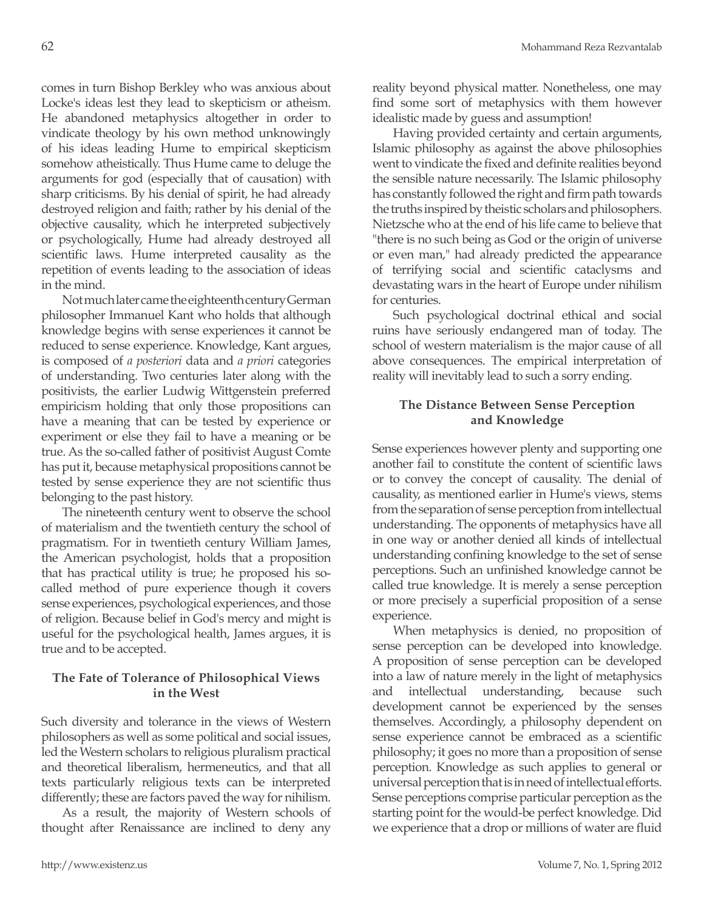comes in turn Bishop Berkley who was anxious about Locke's ideas lest they lead to skepticism or atheism. He abandoned metaphysics altogether in order to vindicate theology by his own method unknowingly of his ideas leading Hume to empirical skepticism somehow atheistically. Thus Hume came to deluge the arguments for god (especially that of causation) with sharp criticisms. By his denial of spirit, he had already destroyed religion and faith; rather by his denial of the objective causality, which he interpreted subjectively or psychologically, Hume had already destroyed all scientific laws. Hume interpreted causality as the repetition of events leading to the association of ideas in the mind.

Not much later came the eighteenth century German philosopher Immanuel Kant who holds that although knowledge begins with sense experiences it cannot be reduced to sense experience. Knowledge, Kant argues, is composed of *a posteriori* data and *a priori* categories of understanding. Two centuries later along with the positivists, the earlier Ludwig Wittgenstein preferred empiricism holding that only those propositions can have a meaning that can be tested by experience or experiment or else they fail to have a meaning or be true. As the so-called father of positivist August Comte has put it, because metaphysical propositions cannot be tested by sense experience they are not scientific thus belonging to the past history.

The nineteenth century went to observe the school of materialism and the twentieth century the school of pragmatism. For in twentieth century William James, the American psychologist, holds that a proposition that has practical utility is true; he proposed his socalled method of pure experience though it covers sense experiences, psychological experiences, and those of religion. Because belief in God's mercy and might is useful for the psychological health, James argues, it is true and to be accepted.

## **The Fate of Tolerance of Philosophical Views in the West**

Such diversity and tolerance in the views of Western philosophers as well as some political and social issues, led the Western scholars to religious pluralism practical and theoretical liberalism, hermeneutics, and that all texts particularly religious texts can be interpreted differently; these are factors paved the way for nihilism.

As a result, the majority of Western schools of thought after Renaissance are inclined to deny any reality beyond physical matter. Nonetheless, one may find some sort of metaphysics with them however idealistic made by guess and assumption!

Having provided certainty and certain arguments, Islamic philosophy as against the above philosophies went to vindicate the fixed and definite realities beyond the sensible nature necessarily. The Islamic philosophy has constantly followed the right and firm path towards the truths inspired by theistic scholars and philosophers. Nietzsche who at the end of his life came to believe that "there is no such being as God or the origin of universe or even man," had already predicted the appearance of terrifying social and scientific cataclysms and devastating wars in the heart of Europe under nihilism for centuries.

Such psychological doctrinal ethical and social ruins have seriously endangered man of today. The school of western materialism is the major cause of all above consequences. The empirical interpretation of reality will inevitably lead to such a sorry ending.

## **The Distance Between Sense Perception and Knowledge**

Sense experiences however plenty and supporting one another fail to constitute the content of scientific laws or to convey the concept of causality. The denial of causality, as mentioned earlier in Hume's views, stems from the separation of sense perception from intellectual understanding. The opponents of metaphysics have all in one way or another denied all kinds of intellectual understanding confining knowledge to the set of sense perceptions. Such an unfinished knowledge cannot be called true knowledge. It is merely a sense perception or more precisely a superficial proposition of a sense experience.

When metaphysics is denied, no proposition of sense perception can be developed into knowledge. A proposition of sense perception can be developed into a law of nature merely in the light of metaphysics and intellectual understanding, because such development cannot be experienced by the senses themselves. Accordingly, a philosophy dependent on sense experience cannot be embraced as a scientific philosophy; it goes no more than a proposition of sense perception. Knowledge as such applies to general or universal perception that is in need of intellectual efforts. Sense perceptions comprise particular perception as the starting point for the would-be perfect knowledge. Did we experience that a drop or millions of water are fluid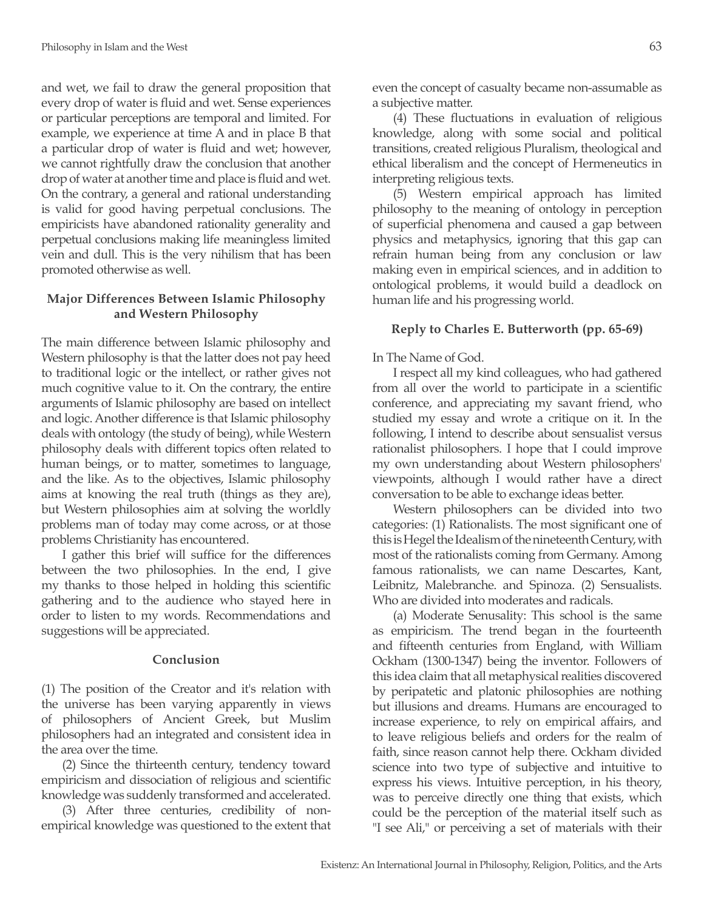and wet, we fail to draw the general proposition that every drop of water is fluid and wet. Sense experiences or particular perceptions are temporal and limited. For example, we experience at time A and in place B that a particular drop of water is fluid and wet; however, we cannot rightfully draw the conclusion that another drop of water at another time and place is fluid and wet. On the contrary, a general and rational understanding is valid for good having perpetual conclusions. The empiricists have abandoned rationality generality and perpetual conclusions making life meaningless limited vein and dull. This is the very nihilism that has been promoted otherwise as well.

## **Major Differences Between Islamic Philosophy and Western Philosophy**

The main difference between Islamic philosophy and Western philosophy is that the latter does not pay heed to traditional logic or the intellect, or rather gives not much cognitive value to it. On the contrary, the entire arguments of Islamic philosophy are based on intellect and logic. Another difference is that Islamic philosophy deals with ontology (the study of being), while Western philosophy deals with different topics often related to human beings, or to matter, sometimes to language, and the like. As to the objectives, Islamic philosophy aims at knowing the real truth (things as they are), but Western philosophies aim at solving the worldly problems man of today may come across, or at those problems Christianity has encountered.

I gather this brief will suffice for the differences between the two philosophies. In the end, I give my thanks to those helped in holding this scientific gathering and to the audience who stayed here in order to listen to my words. Recommendations and suggestions will be appreciated.

#### **Conclusion**

(1) The position of the Creator and it's relation with the universe has been varying apparently in views of philosophers of Ancient Greek, but Muslim philosophers had an integrated and consistent idea in the area over the time.

(2) Since the thirteenth century, tendency toward empiricism and dissociation of religious and scientific knowledge was suddenly transformed and accelerated.

(3) After three centuries, credibility of nonempirical knowledge was questioned to the extent that even the concept of casualty became non-assumable as a subjective matter.

(4) These fluctuations in evaluation of religious knowledge, along with some social and political transitions, created religious Pluralism, theological and ethical liberalism and the concept of Hermeneutics in interpreting religious texts.

(5) Western empirical approach has limited philosophy to the meaning of ontology in perception of superficial phenomena and caused a gap between physics and metaphysics, ignoring that this gap can refrain human being from any conclusion or law making even in empirical sciences, and in addition to ontological problems, it would build a deadlock on human life and his progressing world.

## **Reply to Charles E. Butterworth (pp. 65-69)**

#### In The Name of God.

I respect all my kind colleagues, who had gathered from all over the world to participate in a scientific conference, and appreciating my savant friend, who studied my essay and wrote a critique on it. In the following, I intend to describe about sensualist versus rationalist philosophers. I hope that I could improve my own understanding about Western philosophers' viewpoints, although I would rather have a direct conversation to be able to exchange ideas better.

Western philosophers can be divided into two categories: (1) Rationalists. The most significant one of this is Hegel the Idealism of the nineteenth Century, with most of the rationalists coming from Germany. Among famous rationalists, we can name Descartes, Kant, Leibnitz, Malebranche. and Spinoza. (2) Sensualists. Who are divided into moderates and radicals.

(a) Moderate Senusality: This school is the same as empiricism. The trend began in the fourteenth and fifteenth centuries from England, with William Ockham (1300-1347) being the inventor. Followers of this idea claim that all metaphysical realities discovered by peripatetic and platonic philosophies are nothing but illusions and dreams. Humans are encouraged to increase experience, to rely on empirical affairs, and to leave religious beliefs and orders for the realm of faith, since reason cannot help there. Ockham divided science into two type of subjective and intuitive to express his views. Intuitive perception, in his theory, was to perceive directly one thing that exists, which could be the perception of the material itself such as "I see Ali," or perceiving a set of materials with their